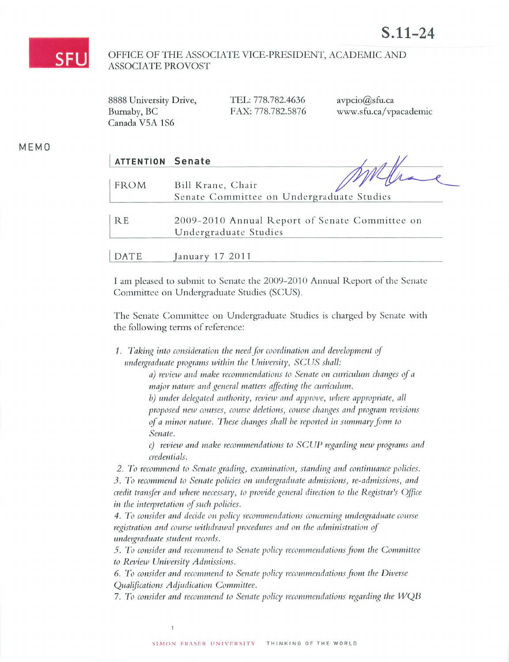

## OFFICE OF THE ASSOCIATE VICE-PRESIDENT, ACADEMIC AND **ASSOCIATE PROVOST**

TEL: 778.782.4636 8888 University Drive, Burnaby, BC FAX: 778.782.5876 Canada V5A 1S6

avpcio@sfu.ca www.sfu.ca/vpacademic

MEMO

| <b>ATTENTION Senate</b> |                                                                         |
|-------------------------|-------------------------------------------------------------------------|
| <b>FROM</b>             | Bill Krane, Chair<br>Senate Committee on Undergraduate Studies          |
| <b>RE</b>               | 2009-2010 Annual Report of Senate Committee on<br>Undergraduate Studies |
| DATE                    | January 17 2011                                                         |

I am pleased to submit to Senate the 2009-2010 Annual Report of the Senate Committee on Undergraduate Studies (SCUS).

The Senate Committee on Undergraduate Studies is charged by Senate with the following terms of reference:

1. Taking into consideration the need for coordination and development of undergraduate programs within the University, SCUS shall:

> a) review and make recommendations to Senate on curriculum changes of a major nature and general matters affecting the curriculum.

b) under delegated authority, review and approve, where appropriate, all proposed new courses, course deletions, course changes and program revisions of a minor nature. These changes shall be reported in summary form to Senate.

c) review and make recommendations to SCUP regarding new programs and credentials.

2. To recommend to Senate grading, examination, standing and continuance policies. 3. To recommend to Senate policies on undergraduate admissions, re-admissions, and credit transfer and where necessary, to provide general direction to the Registrar's Office in the interpretation of such policies.

4. To consider and decide on policy recommendations concerning undergraduate course registration and course withdrawal procedures and on the administration of undergraduate student records.

5. To consider and recommend to Senate policy recommendations from the Committee to Review University Admissions.

6. To consider and recommend to Senate policy recommendations from the Diverse Qualifications Adjudication Committee.

7. To consider and recommend to Senate policy recommendations regarding the WQB

 $\overline{1}$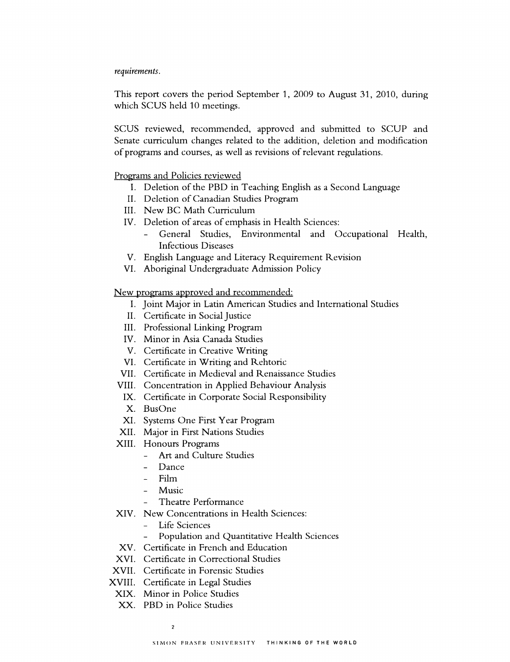## *requirements.*

This report covers the period September 1, 2009 to August 31, 2010, during which SCUS held 10 meetings.

SCUS reviewed, recommended, approved and submitted to SCUP and Senate curriculum changes related to the addition, deletion and modification of programs and courses, as well as revisions of relevant regulations.

## Programs and Policies reviewed

- I. Deletion of the PBD in Teaching English as a Second Language
- II. Deletion of Canadian Studies Program
- III. New BC Math Curriculum
- IV. Deletion of areas of emphasis in Health Sciences:
	- General Studies, Environmental and Occupational Health, Infectious Diseases
- V. English Language and Literacy Requirement Revision
- VI. Aboriginal Undergraduate Admission Policy

New programs approved and recommended:

- I. Joint Major in Latin American Studies and International Studies
- II. Certificate in Social Justice
- III. Professional Linking Program
- IV. Minor in Asia Canada Studies
- V. Certificate in Creative Writing
- VI. Certificate in Writing and Rehtoric
- VII. Certificate in Medieval and Renaissance Studies
- VIII. Concentration in Applied Behaviour Analysis
- IX. Certificate in Corporate Social Responsibility
- X. BusOne
- XI. Systems One First Year Program
- XII. Major in First Nations Studies
- XIII. Honours Programs
	- Art and Culture Studies
	- Dance
	- Film
	- Music
	- Theatre Performance
- XIV. New Concentrations in Health Sciences:
	- Life Sciences
	- Population and Quantitative Health Sciences
- XV. Certificate in French and Education
- XVI. Certificate in Correctional Studies
- XVII. Certificate in Forensic Studies
- XVIII. Certificate in Legal Studies
- XIX. Minor in Police Studies
- XX. PBD in Police Studies